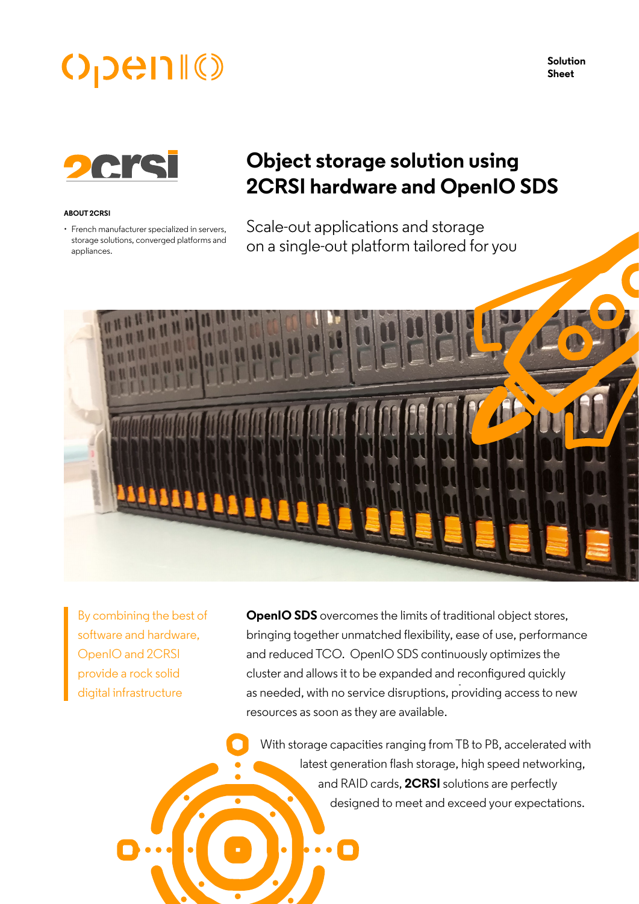# $O$ <sub>D</sub>en $\mathbb{I}$  ()

**Solution Sheet**



#### **ABOUT 2CRSI**

• French manufacturer specialized in servers, storage solutions, converged platforms and appliances.

# **Object storage solution using 2CRSI hardware and OpenIO SDS**

Scale-out applications and storage on a single-out platform tailored for you



By combining the best of software and hardware, OpenIO and 2CRSI provide a rock solid digital infrastructure

**OpenIO SDS** overcomes the limits of traditional object stores, bringing together unmatched flexibility, ease of use, performance and reduced TCO. OpenIO SDS continuously optimizes the cluster and allows it to be expanded and reconfigured quickly as needed, with no service disruptions, providing access to new resources as soon as they are available.

With storage capacities ranging from TB to PB, accelerated with latest generation flash storage, high speed networking, and RAID cards, **2CRSI** solutions are perfectly designed to meet and exceed your expectations.